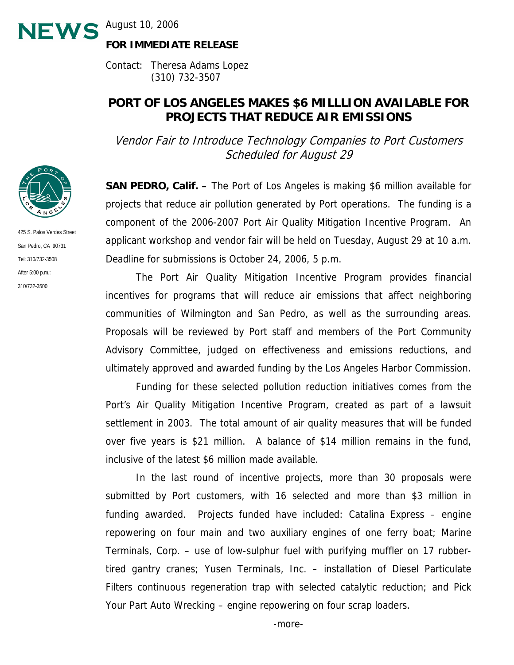**NEWS** August 10, 2006

## **FOR IMMEDIATE RELEASE**

Contact: Theresa Adams Lopez (310) 732-3507

# **PORT OF LOS ANGELES MAKES \$6 MILLLION AVAILABLE FOR PROJECTS THAT REDUCE AIR EMISSIONS**

Vendor Fair to Introduce Technology Companies to Port Customers Scheduled for August 29

**SAN PEDRO, Calif. –** The Port of Los Angeles is making \$6 million available for projects that reduce air pollution generated by Port operations. The funding is a component of the 2006-2007 Port Air Quality Mitigation Incentive Program. An applicant workshop and vendor fair will be held on Tuesday, August 29 at 10 a.m. Deadline for submissions is October 24, 2006, 5 p.m.

 The Port Air Quality Mitigation Incentive Program provides financial incentives for programs that will reduce air emissions that affect neighboring communities of Wilmington and San Pedro, as well as the surrounding areas. Proposals will be reviewed by Port staff and members of the Port Community Advisory Committee, judged on effectiveness and emissions reductions, and ultimately approved and awarded funding by the Los Angeles Harbor Commission.

 Funding for these selected pollution reduction initiatives comes from the Port's Air Quality Mitigation Incentive Program, created as part of a lawsuit settlement in 2003. The total amount of air quality measures that will be funded over five years is \$21 million. A balance of \$14 million remains in the fund, inclusive of the latest \$6 million made available.

 In the last round of incentive projects, more than 30 proposals were submitted by Port customers, with 16 selected and more than \$3 million in funding awarded. Projects funded have included: Catalina Express – engine repowering on four main and two auxiliary engines of one ferry boat; Marine Terminals, Corp. – use of low-sulphur fuel with purifying muffler on 17 rubbertired gantry cranes; Yusen Terminals, Inc. – installation of Diesel Particulate Filters continuous regeneration trap with selected catalytic reduction; and Pick Your Part Auto Wrecking – engine repowering on four scrap loaders.



425 S. Palos Verdes Street San Pedro, CA 90731 Tel: 310/732-3508 After 5:00 p.m.: 310/732-3500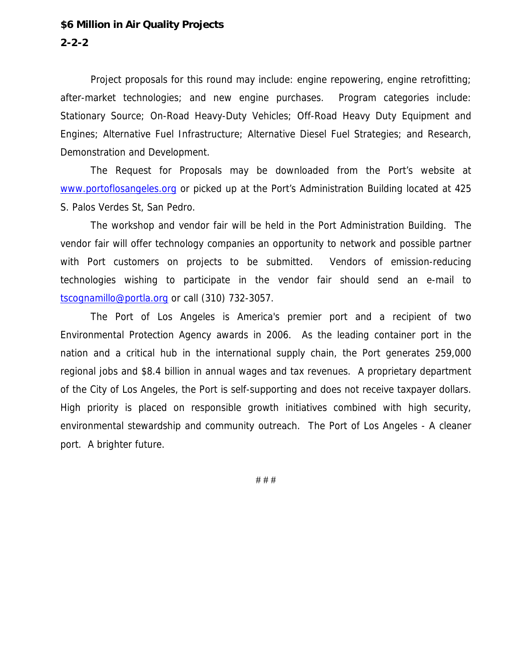#### **\$6 Million in Air Quality Projects**

### **2-2-2**

 Project proposals for this round may include: engine repowering, engine retrofitting; after-market technologies; and new engine purchases. Program categories include: Stationary Source; On-Road Heavy-Duty Vehicles; Off-Road Heavy Duty Equipment and Engines; Alternative Fuel Infrastructure; Alternative Diesel Fuel Strategies; and Research, Demonstration and Development.

 The Request for Proposals may be downloaded from the Port's website at www.portoflosangeles.org or picked up at the Port's Administration Building located at 425 S. Palos Verdes St, San Pedro.

 The workshop and vendor fair will be held in the Port Administration Building. The vendor fair will offer technology companies an opportunity to network and possible partner with Port customers on projects to be submitted. Vendors of emission-reducing technologies wishing to participate in the vendor fair should send an e-mail to tscognamillo@portla.org or call (310) 732-3057.

 The Port of Los Angeles is America's premier port and a recipient of two Environmental Protection Agency awards in 2006. As the leading container port in the nation and a critical hub in the international supply chain, the Port generates 259,000 regional jobs and \$8.4 billion in annual wages and tax revenues. A proprietary department of the City of Los Angeles, the Port is self-supporting and does not receive taxpayer dollars. High priority is placed on responsible growth initiatives combined with high security, environmental stewardship and community outreach. The Port of Los Angeles - A cleaner port. A brighter future.

# # #